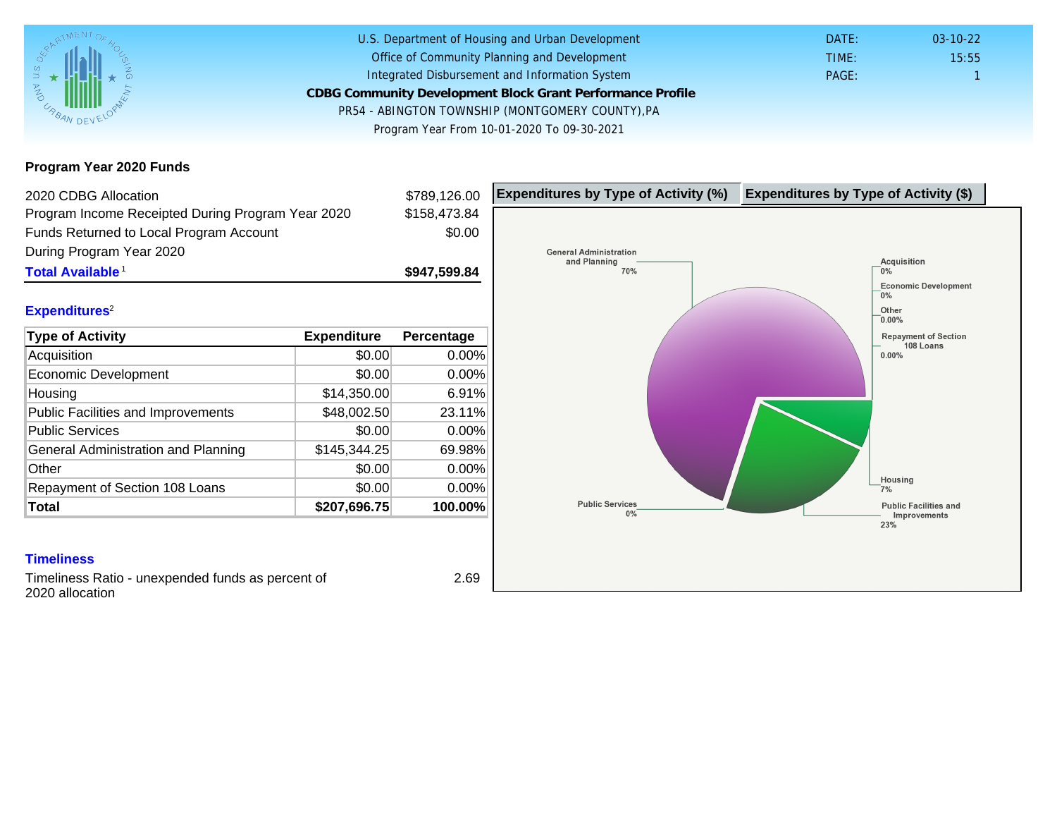## Program Year 2020 Funds

| 2020 CDBG Allocation                                                                         |              | \$789,126.00           | Expenditures by Type of Activity (%) | Expenditure |
|----------------------------------------------------------------------------------------------|--------------|------------------------|--------------------------------------|-------------|
| Program Income Receipted During Program Year 2020<br>Funds Returned to Local Program Account |              | \$158,473.84<br>\$0.00 |                                      |             |
|                                                                                              |              |                        |                                      |             |
| During Program Year 2020                                                                     |              |                        |                                      |             |
| Total Available <sup>1</sup>                                                                 |              | \$947,599.84           |                                      |             |
| Expenditures <sup>2</sup>                                                                    |              |                        |                                      |             |
| Type of Activity                                                                             | Expenditure  | Percentage             |                                      |             |
| Acquisition                                                                                  | \$0.00       | 0.00%                  |                                      |             |
| <b>Economic Development</b>                                                                  | \$0.00       | $0.00\%$               |                                      |             |
| Housing                                                                                      | \$14,350.00  | 6.91%                  |                                      |             |
| <b>Public Facilities and Improvements</b>                                                    | \$48,002.50  | 23.11%                 |                                      |             |
| <b>Public Services</b>                                                                       | \$0.00       | 0.00%                  |                                      |             |
| General Administration and Planning                                                          | \$145,344.25 | 69.98%                 |                                      |             |
| Other                                                                                        | \$0.00       | $0.00\%$               |                                      |             |
| Repayment of Section 108 Loans                                                               | \$0.00       | 0.00%                  |                                      |             |
| Total                                                                                        | \$207,696.75 | 100.00%                |                                      |             |
|                                                                                              |              |                        |                                      |             |
| <b>Timeliness</b>                                                                            |              |                        |                                      |             |
| Timolinger Patio unovponded funds as percent of                                              |              | 2.60                   |                                      |             |

Timeliness Ratio - unexpended funds as percent of 2020 allocation

2.69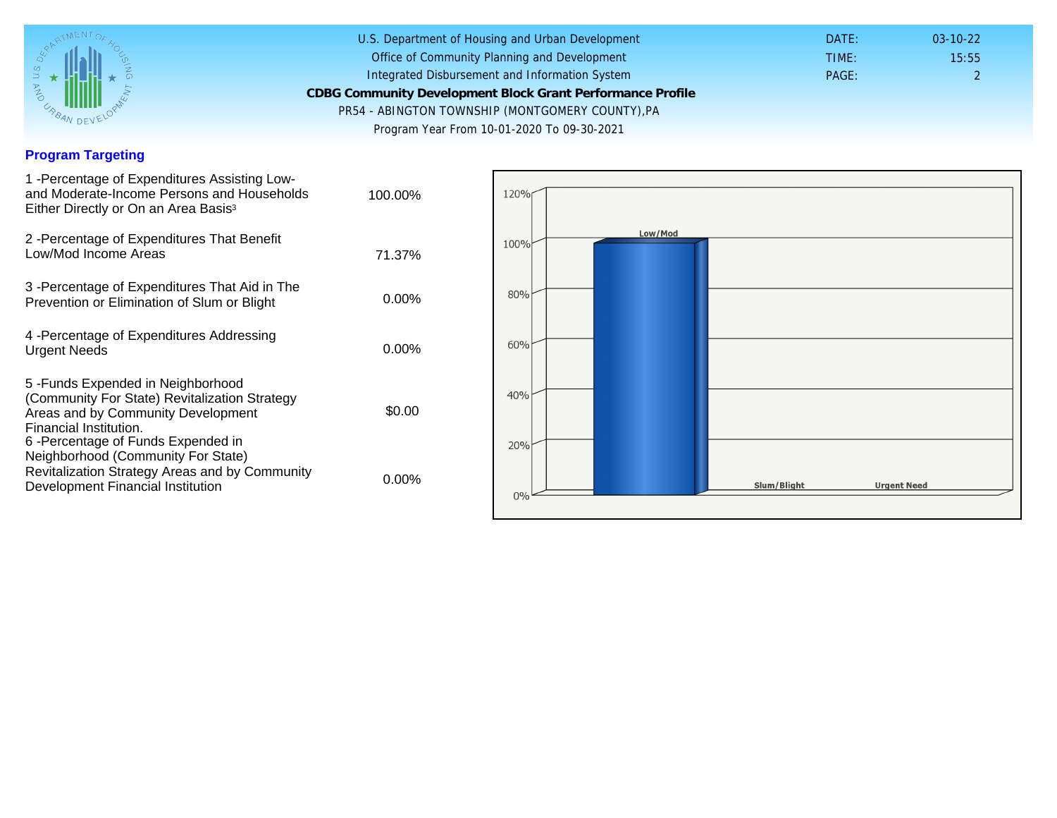### Program Targeting

| 1 -Percentage of Expenditures Assisting Low-<br>and Moderate-Income Persons and Households<br>Either Directly or On an Area Basis <sup>3</sup>                                                                               | 100.00%  |
|------------------------------------------------------------------------------------------------------------------------------------------------------------------------------------------------------------------------------|----------|
| 2 - Percentage of Expenditures That Benefit<br>Low/Mod Income Areas                                                                                                                                                          | 71.37%   |
| 3 - Percentage of Expenditures That Aid in The<br>Prevention or Elimination of Slum or Blight                                                                                                                                | $0.00\%$ |
| 4 - Percentage of Expenditures Addressing<br><b>Urgent Needs</b>                                                                                                                                                             | $0.00\%$ |
| 5-Funds Expended in Neighborhood<br>(Community For State) Revitalization Strategy<br>Areas and by Community Development<br>Financial Institution.<br>6-Percentage of Funds Expended in<br>Neighborhood (Community For State) | \$0.00   |
| Revitalization Strategy Areas and by Community<br>Development Financial Institution                                                                                                                                          | $0.00\%$ |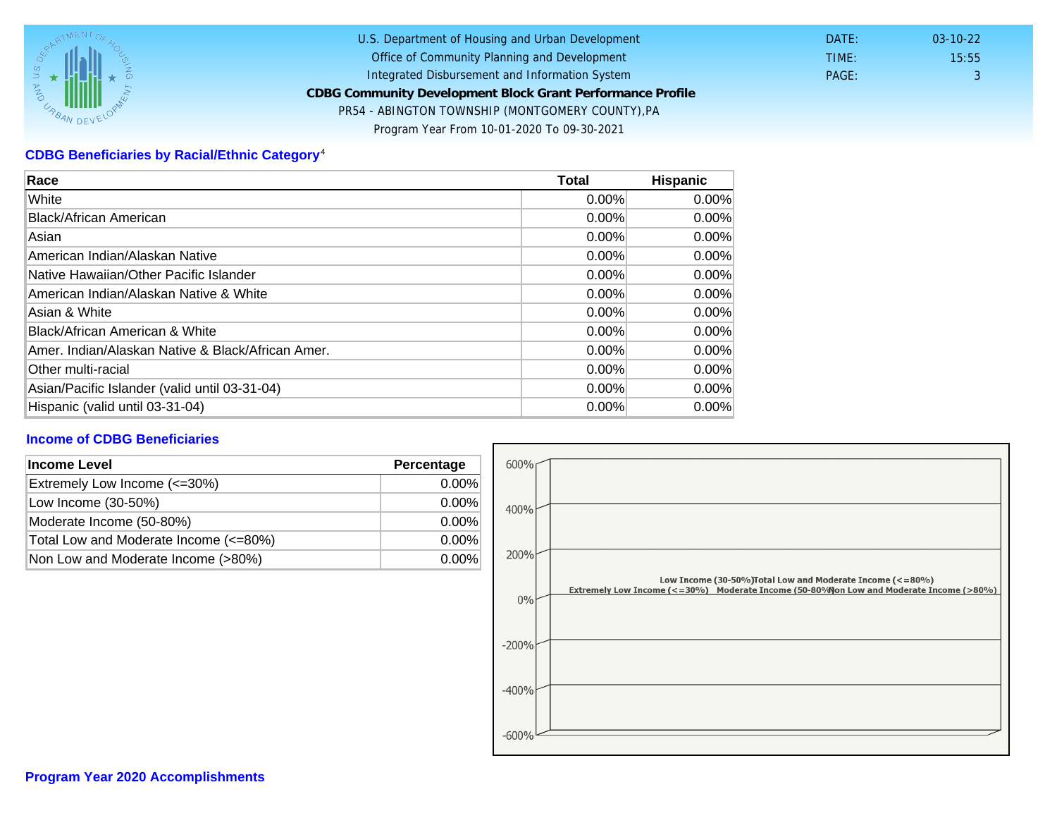# CDBG Beneficiaries by Racial/Ethnic Category <sup>4</sup>

| Race                                              | Total    | Hispanic |
|---------------------------------------------------|----------|----------|
| White                                             | 0.00%    | 0.00%    |
| Black/African American                            | $0.00\%$ | $0.00\%$ |
| Asian                                             | $0.00\%$ | 0.00%    |
| American Indian/Alaskan Native                    | 0.00%    | $0.00\%$ |
| lNative Hawaiian/Other Pacific Islander           | $0.00\%$ | $0.00\%$ |
| American Indian/Alaskan Native & White            | 0.00%    | $0.00\%$ |
| Asian & White                                     | $0.00\%$ | $0.00\%$ |
| Black/African American & White                    | 0.00%    | $0.00\%$ |
| Amer. Indian/Alaskan Native & Black/African Amer. | $0.00\%$ | $0.00\%$ |
| <b>Other multi-racial</b>                         | 0.00%    | 0.00%    |
| Asian/Pacific Islander (valid until 03-31-04)     | 0.00%    | 0.00%    |
| Hispanic (valid until 03-31-04)                   | 0.00%    | 0.00%    |

## Income of CDBG Beneficiaries

| Income Level                          | Percentage |
|---------------------------------------|------------|
| Extremely Low Income (<=30%)          | $0.00\%$   |
| Low Income (30-50%)                   | $0.00\%$   |
| Moderate Income (50-80%)              | $0.00\%$   |
| Total Low and Moderate Income (<=80%) | $0.00\%$   |
| Non Low and Moderate Income (>80%)    | 0.00%      |